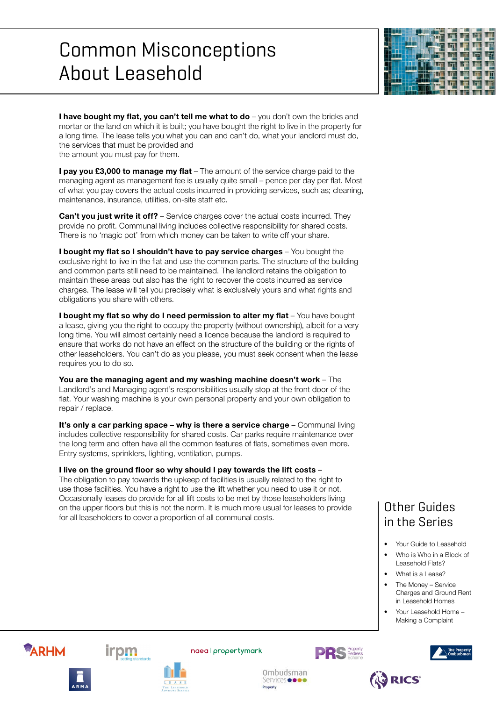# Common Misconceptions About Leasehold



**I have bought my flat, you can't tell me what to do** – you don't own the bricks and mortar or the land on which it is built; you have bought the right to live in the property for a long time. The lease tells you what you can and can't do, what your landlord must do, the services that must be provided and the amount you must pay for them.

**I pay you £3,000 to manage my flat** – The amount of the service charge paid to the managing agent as management fee is usually quite small – pence per day per flat. Most of what you pay covers the actual costs incurred in providing services, such as; cleaning, maintenance, insurance, utilities, on-site staff etc.

**Can't you just write it off?** – Service charges cover the actual costs incurred. They provide no profit. Communal living includes collective responsibility for shared costs. There is no 'magic pot' from which money can be taken to write off your share.

**I bought my flat so I shouldn't have to pay service charges** – You bought the exclusive right to live in the flat and use the common parts. The structure of the building and common parts still need to be maintained. The landlord retains the obligation to maintain these areas but also has the right to recover the costs incurred as service charges. The lease will tell you precisely what is exclusively yours and what rights and obligations you share with others.

**I bought my flat so why do I need permission to alter my flat** - You have bought a lease, giving you the right to occupy the property (without ownership), albeit for a very long time. You will almost certainly need a licence because the landlord is required to ensure that works do not have an effect on the structure of the building or the rights of other leaseholders. You can't do as you please, you must seek consent when the lease requires you to do so.

**You are the managing agent and my washing machine doesn't work** – The Landlord's and Managing agent's responsibilities usually stop at the front door of the flat. Your washing machine is your own personal property and your own obligation to repair / replace.

**It's only a car parking space – why is there a service charge** – Communal living includes collective responsibility for shared costs. Car parks require maintenance over the long term and often have all the common features of flats, sometimes even more. Entry systems, sprinklers, lighting, ventilation, pumps.

### **I live on the ground floor so why should I pay towards the lift costs** –

The obligation to pay towards the upkeep of facilities is usually related to the right to use those facilities. You have a right to use the lift whether you need to use it or not. Occasionally leases do provide for all lift costs to be met by those leaseholders living on the upper floors but this is not the norm. It is much more usual for leases to provide for all leaseholders to cover a proportion of all communal costs.

## Other Guides in the Series

- Your Guide to Leasehold
- Who is Who in a Block of Leasehold Flats?
- What is a Lease?
- The Money Service Charges and Ground Rent in Leasehold Homes
- Your Leasehold Home Making a Complaint









Ombudsman

Services **o o o o** 

Propert